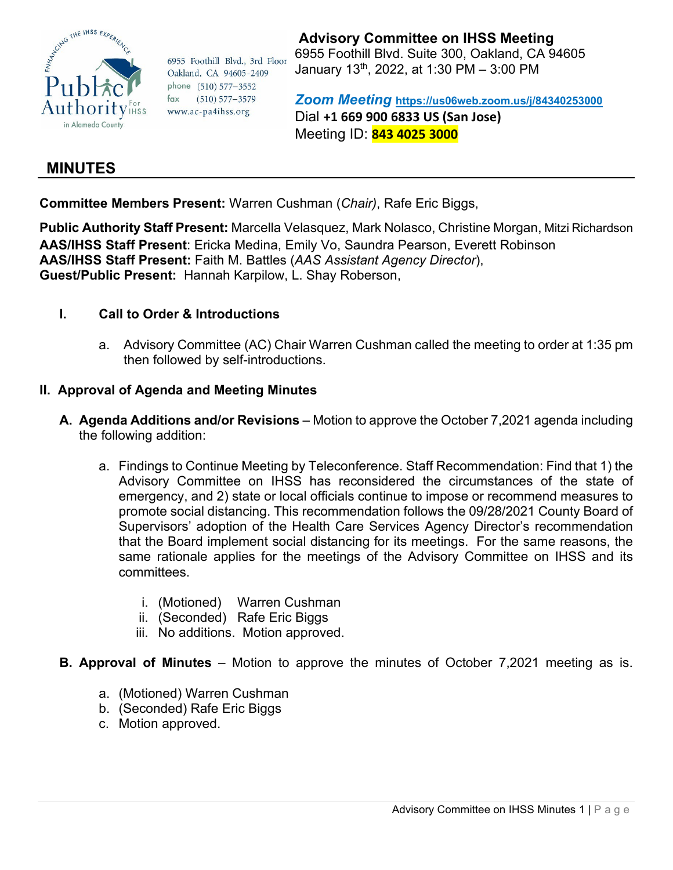

6955 Foothill Blvd., 3rd Floor Oakland, CA 94605-2409 phone (510) 577-3552  $fax$  $(510) 577 - 3579$ www.ac-pa4ihss.org

## **Advisory Committee on IHSS Meeting**

6955 Foothill Blvd. Suite 300, Oakland, CA 94605 January 13th, 2022, at 1:30 PM – 3:00 PM

*Zoom Meeting* **[https://us06web.zoom.us/j/8](https://us06web.zoom.us/j/)4340253000** Dial **+1 669 900 6833 US (San Jose)** Meeting ID: **843 4025 3000**

# **MINUTES**

**Committee Members Present:** Warren Cushman (*Chair)*, Rafe Eric Biggs,

**Public Authority Staff Present:** Marcella Velasquez, Mark Nolasco, Christine Morgan, Mitzi Richardson **AAS/IHSS Staff Present**: Ericka Medina, Emily Vo, Saundra Pearson, Everett Robinson **AAS/IHSS Staff Present:** Faith M. Battles (*AAS Assistant Agency Director*), **Guest/Public Present:** Hannah Karpilow, L. Shay Roberson,

### **I. Call to Order & Introductions**

a. Advisory Committee (AC) Chair Warren Cushman called the meeting to order at 1:35 pm then followed by self-introductions.

### **II. Approval of Agenda and Meeting Minutes**

- **A. Agenda Additions and/or Revisions** Motion to approve the October 7,2021 agenda including the following addition:
	- a. Findings to Continue Meeting by Teleconference. Staff Recommendation: Find that 1) the Advisory Committee on IHSS has reconsidered the circumstances of the state of emergency, and 2) state or local officials continue to impose or recommend measures to promote social distancing. This recommendation follows the 09/28/2021 County Board of Supervisors' adoption of the Health Care Services Agency Director's recommendation that the Board implement social distancing for its meetings. For the same reasons, the same rationale applies for the meetings of the Advisory Committee on IHSS and its committees.
		- i. (Motioned) Warren Cushman
		- ii. (Seconded) Rafe Eric Biggs
		- iii. No additions. Motion approved.
- **B. Approval of Minutes** Motion to approve the minutes of October 7,2021 meeting as is.
	- a. (Motioned) Warren Cushman
	- b. (Seconded) Rafe Eric Biggs
	- c. Motion approved.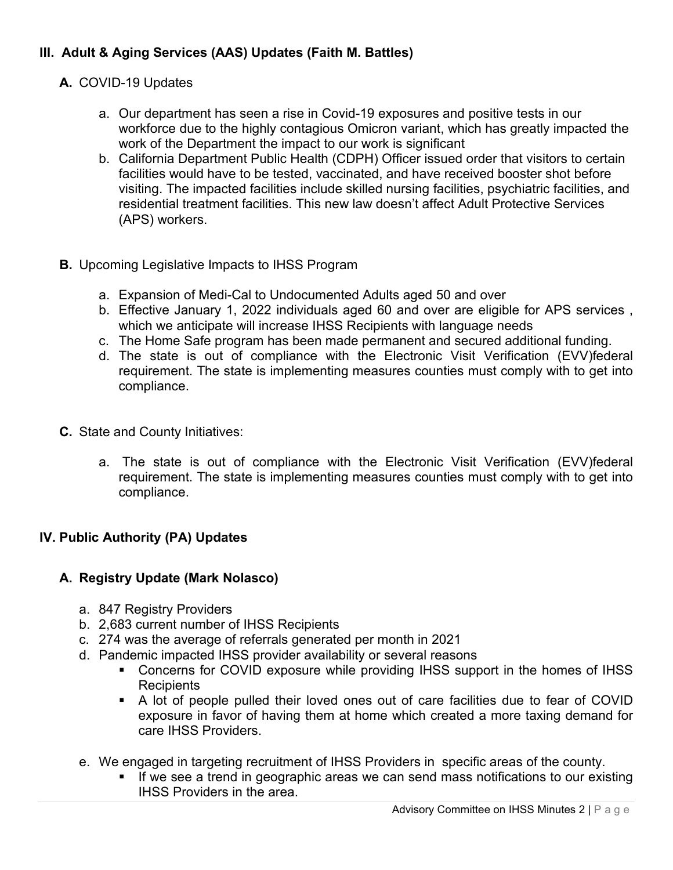## **III. Adult & Aging Services (AAS) Updates (Faith M. Battles)**

- **A.** COVID-19 Updates
	- a. Our department has seen a rise in Covid-19 exposures and positive tests in our workforce due to the highly contagious Omicron variant, which has greatly impacted the work of the Department the impact to our work is significant
	- b. California Department Public Health (CDPH) Officer issued order that visitors to certain facilities would have to be tested, vaccinated, and have received booster shot before visiting. The impacted facilities include skilled nursing facilities, psychiatric facilities, and residential treatment facilities. This new law doesn't affect Adult Protective Services (APS) workers.
- **B.** Upcoming Legislative Impacts to IHSS Program
	- a. Expansion of Medi-Cal to Undocumented Adults aged 50 and over
	- b. Effective January 1, 2022 individuals aged 60 and over are eligible for APS services , which we anticipate will increase IHSS Recipients with language needs
	- c. The Home Safe program has been made permanent and secured additional funding.
	- d. The state is out of compliance with the Electronic Visit Verification (EVV)federal requirement. The state is implementing measures counties must comply with to get into compliance.
- **C.** State and County Initiatives:
	- a. The state is out of compliance with the Electronic Visit Verification (EVV)federal requirement. The state is implementing measures counties must comply with to get into compliance.

## **IV. Public Authority (PA) Updates**

### **A. Registry Update (Mark Nolasco)**

- a. 847 Registry Providers
- b. 2,683 current number of IHSS Recipients
- c. 274 was the average of referrals generated per month in 2021
- d. Pandemic impacted IHSS provider availability or several reasons
	- Concerns for COVID exposure while providing IHSS support in the homes of IHSS **Recipients**
	- A lot of people pulled their loved ones out of care facilities due to fear of COVID exposure in favor of having them at home which created a more taxing demand for care IHSS Providers.
- e. We engaged in targeting recruitment of IHSS Providers in specific areas of the county.
	- If we see a trend in geographic areas we can send mass notifications to our existing IHSS Providers in the area.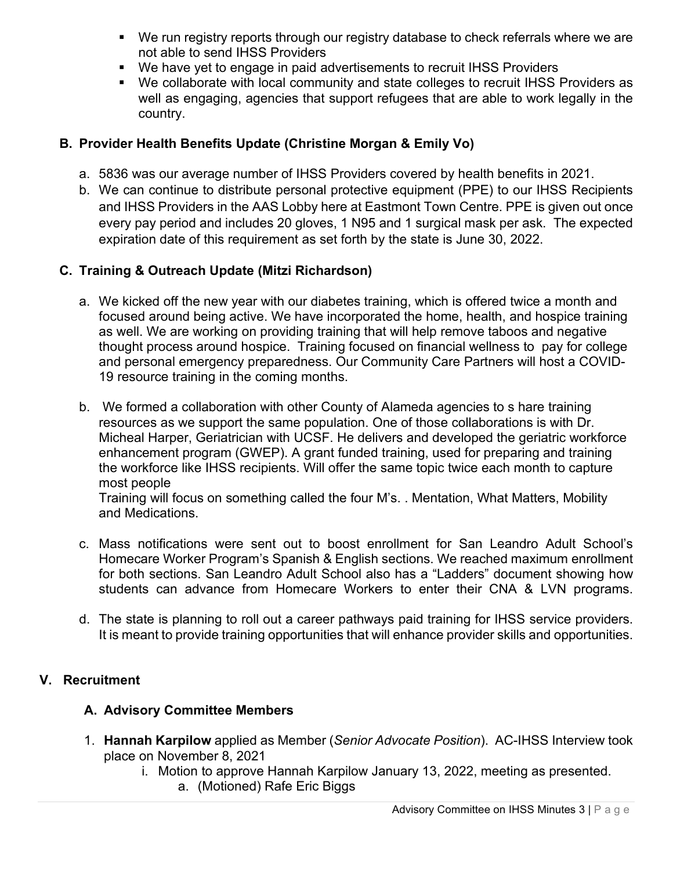- We run registry reports through our registry database to check referrals where we are not able to send IHSS Providers
- We have yet to engage in paid advertisements to recruit IHSS Providers
- We collaborate with local community and state colleges to recruit IHSS Providers as well as engaging, agencies that support refugees that are able to work legally in the country.

### **B. Provider Health Benefits Update (Christine Morgan & Emily Vo)**

- a. 5836 was our average number of IHSS Providers covered by health benefits in 2021.
- b. We can continue to distribute personal protective equipment (PPE) to our IHSS Recipients and IHSS Providers in the AAS Lobby here at Eastmont Town Centre. PPE is given out once every pay period and includes 20 gloves, 1 N95 and 1 surgical mask per ask. The expected expiration date of this requirement as set forth by the state is June 30, 2022.

### **C. Training & Outreach Update (Mitzi Richardson)**

- a. We kicked off the new year with our diabetes training, which is offered twice a month and focused around being active. We have incorporated the home, health, and hospice training as well. We are working on providing training that will help remove taboos and negative thought process around hospice. Training focused on financial wellness to pay for college and personal emergency preparedness. Our Community Care Partners will host a COVID-19 resource training in the coming months.
- b. We formed a collaboration with other County of Alameda agencies to s hare training resources as we support the same population. One of those collaborations is with Dr. Micheal Harper, Geriatrician with UCSF. He delivers and developed the geriatric workforce enhancement program (GWEP). A grant funded training, used for preparing and training the workforce like IHSS recipients. Will offer the same topic twice each month to capture most people Training will focus on something called the four M's. . Mentation, What Matters, Mobility

and Medications.

- c. Mass notifications were sent out to boost enrollment for San Leandro Adult School's Homecare Worker Program's Spanish & English sections. We reached maximum enrollment for both sections. San Leandro Adult School also has a "Ladders" document showing how students can advance from Homecare Workers to enter their CNA & LVN programs.
- d. The state is planning to roll out a career pathways paid training for IHSS service providers. It is meant to provide training opportunities that will enhance provider skills and opportunities.

### **V. Recruitment**

### **A. Advisory Committee Members**

- 1. **Hannah Karpilow** applied as Member (*Senior Advocate Position*). AC-IHSS Interview took place on November 8, 2021
	- i. Motion to approve Hannah Karpilow January 13, 2022, meeting as presented.
		- a. (Motioned) Rafe Eric Biggs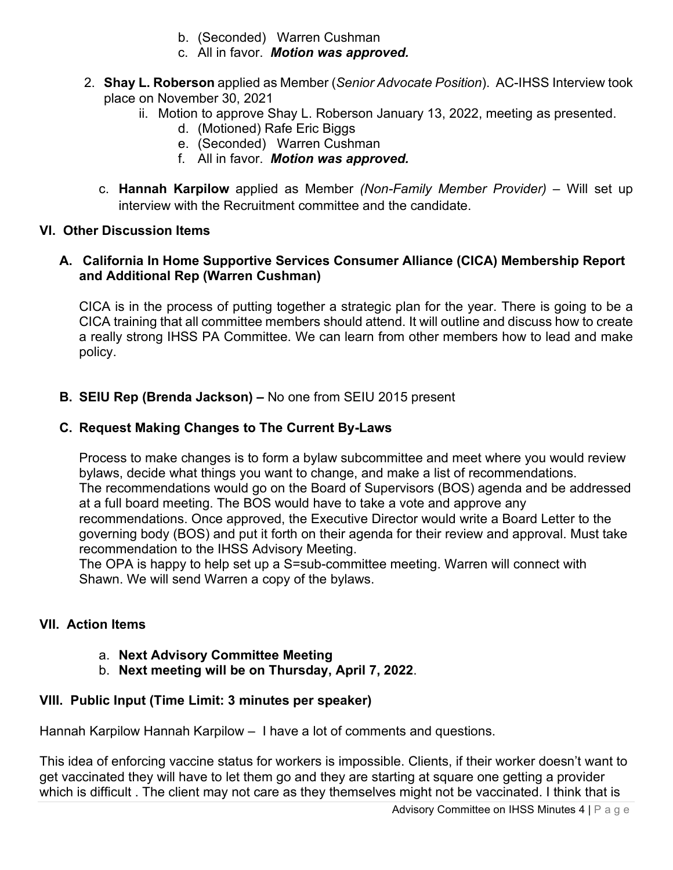- b. (Seconded) Warren Cushman
- c. All in favor. *Motion was approved.*
- 2. **Shay L. Roberson** applied as Member (*Senior Advocate Position*). AC-IHSS Interview took place on November 30, 2021
	- ii. Motion to approve Shay L. Roberson January 13, 2022, meeting as presented.
		- d. (Motioned) Rafe Eric Biggs
		- e. (Seconded) Warren Cushman
		- f. All in favor. *Motion was approved.*
	- c. **Hannah Karpilow** applied as Member *(Non-Family Member Provider)* Will set up interview with the Recruitment committee and the candidate.

## **VI. Other Discussion Items**

## **A. California In Home Supportive Services Consumer Alliance (CICA) Membership Report and Additional Rep (Warren Cushman)**

CICA is in the process of putting together a strategic plan for the year. There is going to be a CICA training that all committee members should attend. It will outline and discuss how to create a really strong IHSS PA Committee. We can learn from other members how to lead and make policy.

## **B. SEIU Rep (Brenda Jackson) –** No one from SEIU 2015 present

## **C. Request Making Changes to The Current By-Laws**

Process to make changes is to form a bylaw subcommittee and meet where you would review bylaws, decide what things you want to change, and make a list of recommendations. The recommendations would go on the Board of Supervisors (BOS) agenda and be addressed at a full board meeting. The BOS would have to take a vote and approve any recommendations. Once approved, the Executive Director would write a Board Letter to the governing body (BOS) and put it forth on their agenda for their review and approval. Must take recommendation to the IHSS Advisory Meeting.

The OPA is happy to help set up a S=sub-committee meeting. Warren will connect with Shawn. We will send Warren a copy of the bylaws.

## **VII. Action Items**

## a. **Next Advisory Committee Meeting**

b. **Next meeting will be on Thursday, April 7, 2022**.

# **VIII. Public Input (Time Limit: 3 minutes per speaker)**

Hannah Karpilow Hannah Karpilow – I have a lot of comments and questions.

This idea of enforcing vaccine status for workers is impossible. Clients, if their worker doesn't want to get vaccinated they will have to let them go and they are starting at square one getting a provider which is difficult. The client may not care as they themselves might not be vaccinated. I think that is